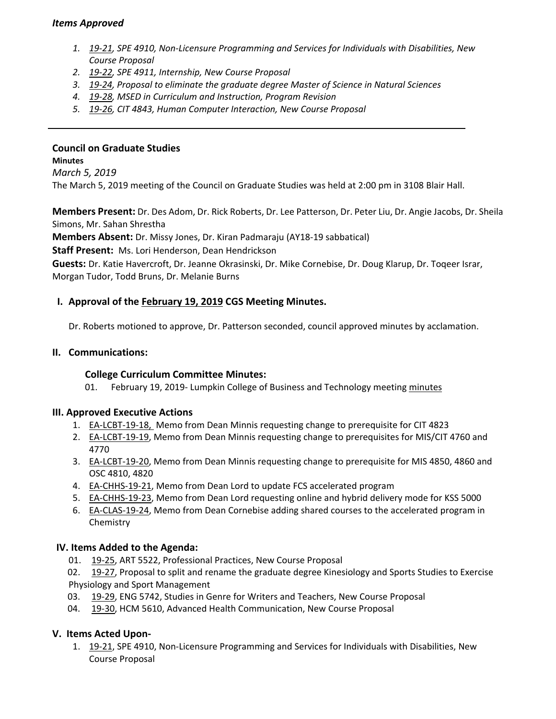## *Items Approved*

- *1. [19‐21](http://castle.eiu.edu/eiucgs/currentagendaitems/agenda19-21.pdf), SPE 4910, Non‐Licensure Programming and Services for Individuals with Disabilities, New Course Proposal*
- *2. [19‐22,](http://castle.eiu.edu/eiucgs/currentagendaitems/agenda19-22.pdf) SPE 4911, Internship, New Course Proposal*
- *3. [19‐24,](http://castle.eiu.edu/eiucgs/currentagendaitems/agenda19-24.pdf) Proposal to eliminate the graduate degree Master of Science in Natural Sciences*
- *4. [19‐28](http://castle.eiu.edu/eiucgs/currentagendaitems/agenda19-28.pdf), MSED in Curriculum and Instruction, Program Revision*
- *5. [19‐26,](http://castle.eiu.edu/eiucgs/currentagendaitems/agenda19-26.pdf) CIT 4843, Human Computer Interaction, New Course Proposal*

#### **Council on Graduate Studies**

**Minutes**

*March 5, 2019*

The March 5, 2019 meeting of the Council on Graduate Studies was held at 2:00 pm in 3108 Blair Hall.

**Members Present:** Dr. Des Adom, Dr. Rick Roberts, Dr. Lee Patterson, Dr. Peter Liu, Dr. Angie Jacobs, Dr. Sheila Simons, Mr. Sahan Shrestha

**Members Absent:** Dr. Missy Jones, Dr. Kiran Padmaraju (AY18‐19 sabbatical)

**Staff Present:** Ms. Lori Henderson, Dean Hendrickson

**Guests:** Dr. Katie Havercroft, Dr. Jeanne Okrasinski, Dr. Mike Cornebise, Dr. Doug Klarup, Dr. Toqeer Israr, Morgan Tudor, Todd Bruns, Dr. Melanie Burns

### **I. Approval of the [February 19, 2019](http://castle.eiu.edu/eiucgs/currentminutes/Minutes2-19-19.pdf) CGS Meeting Minutes.**

Dr. Roberts motioned to approve, Dr. Patterson seconded, council approved minutes by acclamation.

#### **II. Communications:**

#### **College Curriculum Committee Minutes:**

01. February 19, 2019‐ Lumpkin College of Business and Technology meeting [minutes](https://www.eiu.edu/lumpkin/curriculum/lcbatcurrmin20190219.pdf) 

#### **III. Approved Executive Actions**

- 1. [EA‐LCBT‐19‐18,](http://castle.eiu.edu/eiucgs/exec-actions/EA-LCBT-19-18.pdf) Memo from Dean Minnis requesting change to prerequisite for CIT 4823
- 2. EA-LCBT-19-19, Memo from Dean Minnis requesting change to prerequisites for MIS/CIT 4760 and 4770
- 3. [EA‐LCBT‐19‐20,](http://castle.eiu.edu/eiucgs/exec-actions/EA-LCBT-19-20.pdf) Memo from Dean Minnis requesting change to prerequisite for MIS 4850, 4860 and OSC 4810, 4820
- 4. [EA‐CHHS‐19‐21,](http://castle.eiu.edu/eiucgs/exec-actions/EA-CHHS-19-21.pdf) Memo from Dean Lord to update FCS accelerated program
- 5. EA-CHHS-19-23, Memo from Dean Lord requesting online and hybrid delivery mode for KSS 5000
- 6. [EA‐CLAS‐19‐24,](http://castle.eiu.edu/eiucgs/exec-actions/EA-CLAS-19-24.pdf) Memo from Dean Cornebise adding shared courses to the accelerated program in Chemistry

## **IV. Items Added to the Agenda:**

01.  [19‐25,](http://castle.eiu.edu/eiucgs/currentagendaitems/agenda19-25.pdf) ART 5522, Professional Practices, New Course Proposal

 02.  [19‐27,](http://castle.eiu.edu/eiucgs/currentagendaitems/agenda19-27.pdf) Proposal to split and rename the graduate degree Kinesiology and Sports Studies to Exercise Physiology and Sport Management

- 03.  [19‐29,](http://castle.eiu.edu/eiucgs/currentagendaitems/agenda19-29.pdf) ENG 5742, Studies in Genre for Writers and Teachers, New Course Proposal
- 04. 19-30, HCM 5610, Advanced Health Communication, New Course Proposal

## **V. Items Acted Upon‐**

1. [19‐21,](http://castle.eiu.edu/eiucgs/currentagendaitems/agenda19-21.pdf) SPE 4910, Non‐Licensure Programming and Services for Individuals with Disabilities, New Course Proposal